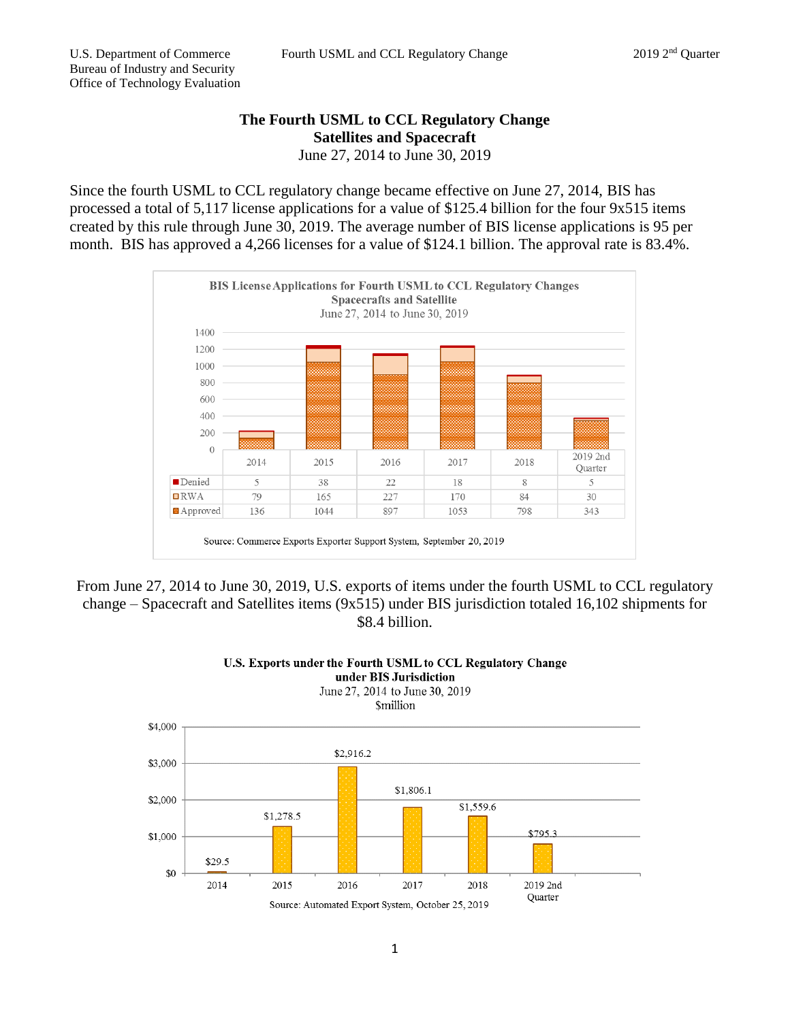## **The Fourth USML to CCL Regulatory Change Satellites and Spacecraft** June 27, 2014 to June 30, 2019

Since the fourth USML to CCL regulatory change became effective on June 27, 2014, BIS has processed a total of 5,117 license applications for a value of \$125.4 billion for the four 9x515 items created by this rule through June 30, 2019. The average number of BIS license applications is 95 per month. BIS has approved a 4,266 licenses for a value of \$124.1 billion. The approval rate is 83.4%.







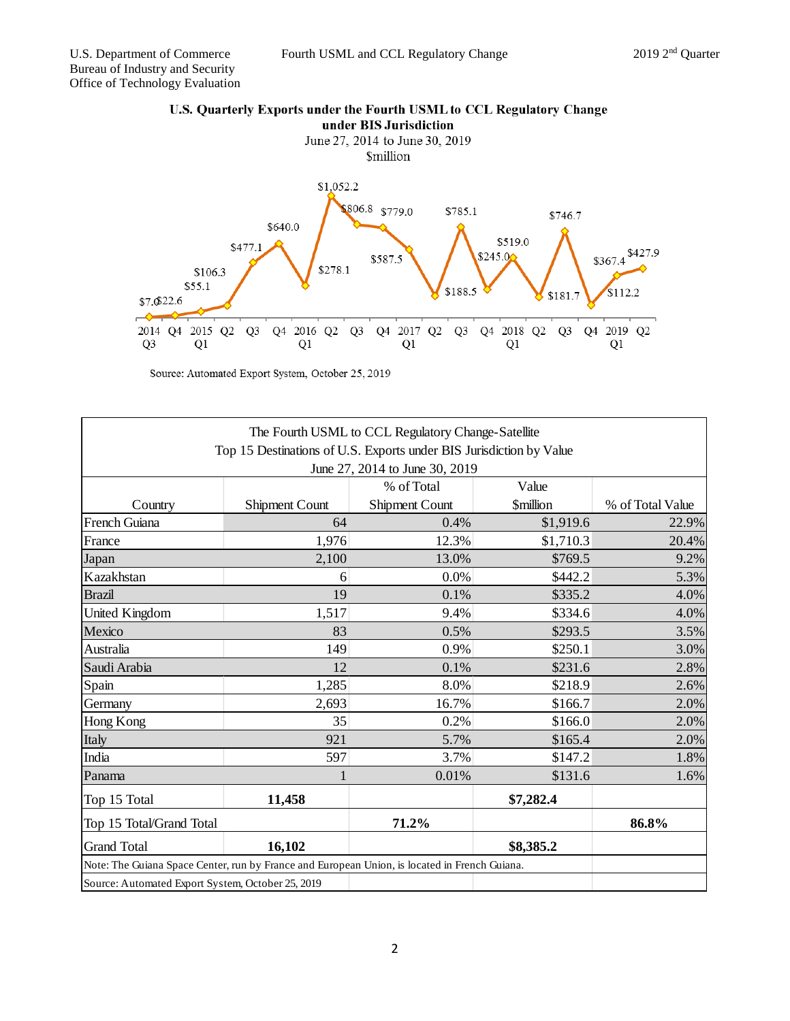

| The Fourth USML to CCL Regulatory Change-Satellite                                            |                       |                |                               |                  |
|-----------------------------------------------------------------------------------------------|-----------------------|----------------|-------------------------------|------------------|
| Top 15 Destinations of U.S. Exports under BIS Jurisdiction by Value                           |                       |                |                               |                  |
| June 27, 2014 to June 30, 2019                                                                |                       |                |                               |                  |
|                                                                                               |                       | % of Total     | Value                         |                  |
| Country                                                                                       | <b>Shipment Count</b> | Shipment Count | <b><i><u>Smillion</u></i></b> | % of Total Value |
| French Guiana                                                                                 | 64                    | 0.4%           | \$1,919.6                     | 22.9%            |
| France                                                                                        | 1,976                 | 12.3%          | \$1,710.3                     | 20.4%            |
| Japan                                                                                         | 2,100                 | 13.0%          | \$769.5                       | 9.2%             |
| Kazakhstan                                                                                    | 6                     | 0.0%           | \$442.2                       | 5.3%             |
| <b>Brazil</b>                                                                                 | 19                    | 0.1%           | \$335.2                       | 4.0%             |
| United Kingdom                                                                                | 1,517                 | 9.4%           | \$334.6                       | 4.0%             |
| Mexico                                                                                        | 83                    | 0.5%           | \$293.5                       | 3.5%             |
| Australia                                                                                     | 149                   | 0.9%           | \$250.1                       | 3.0%             |
| Saudi Arabia                                                                                  | 12                    | 0.1%           | \$231.6                       | 2.8%             |
| Spain                                                                                         | 1,285                 | 8.0%           | \$218.9                       | 2.6%             |
| Germany                                                                                       | 2,693                 | 16.7%          | \$166.7                       | 2.0%             |
| Hong Kong                                                                                     | 35                    | 0.2%           | \$166.0                       | 2.0%             |
| Italy                                                                                         | 921                   | 5.7%           | \$165.4                       | 2.0%             |
| India                                                                                         | 597                   | 3.7%           | \$147.2                       | 1.8%             |
| Panama                                                                                        |                       | 0.01%          | \$131.6                       | 1.6%             |
| Top 15 Total                                                                                  | 11,458                |                | \$7,282.4                     |                  |
| Top 15 Total/Grand Total                                                                      |                       | 71.2%          |                               | 86.8%            |
| <b>Grand Total</b>                                                                            | 16,102                |                | \$8,385.2                     |                  |
| Note: The Guiana Space Center, run by France and European Union, is located in French Guiana. |                       |                |                               |                  |
| Source: Automated Export System, October 25, 2019                                             |                       |                |                               |                  |